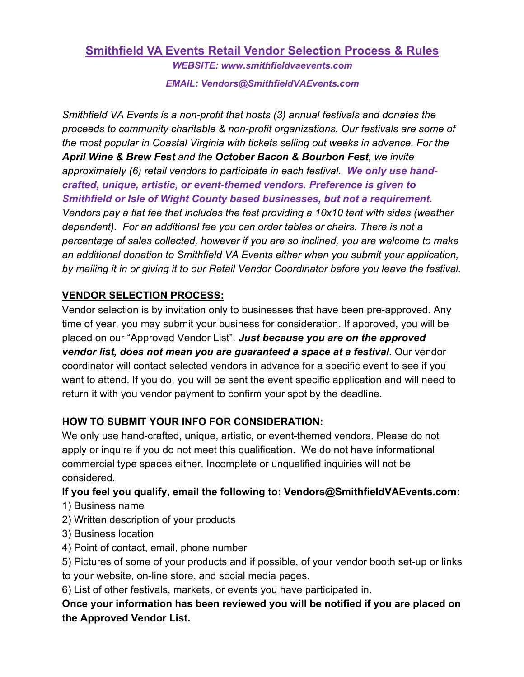### **Smithfield VA Events Retail Vendor Selection Process & Rules** *WEBSITE: www.smithfieldvaevents.com*

*EMAIL: Vendors@SmithfieldVAEvents.com*

*Smithfield VA Events is a non-profit that hosts (3) annual festivals and donates the proceeds to community charitable & non-profit organizations. Our festivals are some of the most popular in Coastal Virginia with tickets selling out weeks in advance. For the April Wine & Brew Fest and the October Bacon & Bourbon Fest, we invite approximately (6) retail vendors to participate in each festival. We only use handcrafted, unique, artistic, or event-themed vendors. Preference is given to Smithfield or Isle of Wight County based businesses, but not a requirement. Vendors pay a flat fee that includes the fest providing a 10x10 tent with sides (weather dependent). For an additional fee you can order tables or chairs. There is not a percentage of sales collected, however if you are so inclined, you are welcome to make an additional donation to Smithfield VA Events either when you submit your application, by mailing it in or giving it to our Retail Vendor Coordinator before you leave the festival.* 

## **VENDOR SELECTION PROCESS:**

Vendor selection is by invitation only to businesses that have been pre-approved. Any time of year, you may submit your business for consideration. If approved, you will be placed on our "Approved Vendor List". *Just because you are on the approved vendor list, does not mean you are guaranteed a space at a festival*. Our vendor coordinator will contact selected vendors in advance for a specific event to see if you want to attend. If you do, you will be sent the event specific application and will need to return it with you vendor payment to confirm your spot by the deadline.

## **HOW TO SUBMIT YOUR INFO FOR CONSIDERATION:**

We only use hand-crafted, unique, artistic, or event-themed vendors. Please do not apply or inquire if you do not meet this qualification. We do not have informational commercial type spaces either. Incomplete or unqualified inquiries will not be considered.

# **If you feel you qualify, email the following to: Vendors@SmithfieldVAEvents.com:**

1) Business name

- 2) Written description of your products
- 3) Business location
- 4) Point of contact, email, phone number
- 5) Pictures of some of your products and if possible, of your vendor booth set-up or links to your website, on-line store, and social media pages.
- 6) List of other festivals, markets, or events you have participated in.

**Once your information has been reviewed you will be notified if you are placed on the Approved Vendor List.**